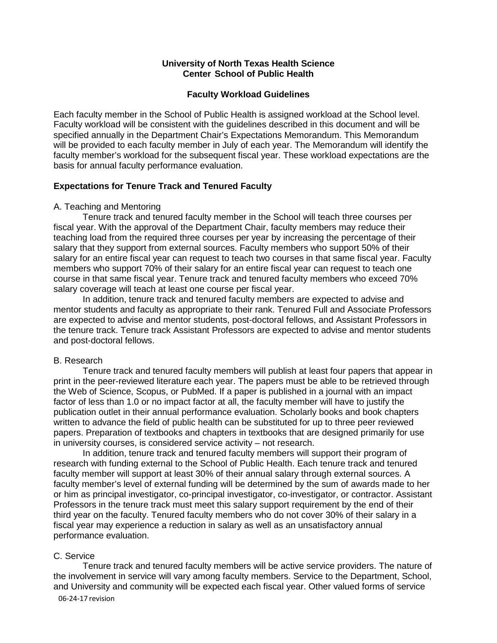#### **University of North Texas Health Science Center School of Public Health**

#### **Faculty Workload Guidelines**

Each faculty member in the School of Public Health is assigned workload at the School level. Faculty workload will be consistent with the guidelines described in this document and will be specified annually in the Department Chair's Expectations Memorandum. This Memorandum will be provided to each faculty member in July of each year. The Memorandum will identify the faculty member's workload for the subsequent fiscal year. These workload expectations are the basis for annual faculty performance evaluation.

# **Expectations for Tenure Track and Tenured Faculty**

#### A. Teaching and Mentoring

Tenure track and tenured faculty member in the School will teach three courses per fiscal year. With the approval of the Department Chair, faculty members may reduce their teaching load from the required three courses per year by increasing the percentage of their salary that they support from external sources. Faculty members who support 50% of their salary for an entire fiscal year can request to teach two courses in that same fiscal year. Faculty members who support 70% of their salary for an entire fiscal year can request to teach one course in that same fiscal year. Tenure track and tenured faculty members who exceed 70% salary coverage will teach at least one course per fiscal year.

In addition, tenure track and tenured faculty members are expected to advise and mentor students and faculty as appropriate to their rank. Tenured Full and Associate Professors are expected to advise and mentor students, post-doctoral fellows, and Assistant Professors in the tenure track. Tenure track Assistant Professors are expected to advise and mentor students and post-doctoral fellows.

# B. Research

Tenure track and tenured faculty members will publish at least four papers that appear in print in the peer-reviewed literature each year. The papers must be able to be retrieved through the Web of Science, Scopus, or PubMed. If a paper is published in a journal with an impact factor of less than 1.0 or no impact factor at all, the faculty member will have to justify the publication outlet in their annual performance evaluation. Scholarly books and book chapters written to advance the field of public health can be substituted for up to three peer reviewed papers. Preparation of textbooks and chapters in textbooks that are designed primarily for use in university courses, is considered service activity – not research.

In addition, tenure track and tenured faculty members will support their program of research with funding external to the School of Public Health. Each tenure track and tenured faculty member will support at least 30% of their annual salary through external sources. A faculty member's level of external funding will be determined by the sum of awards made to her or him as principal investigator, co-principal investigator, co-investigator, or contractor. Assistant Professors in the tenure track must meet this salary support requirement by the end of their third year on the faculty. Tenured faculty members who do not cover 30% of their salary in a fiscal year may experience a reduction in salary as well as an unsatisfactory annual performance evaluation.

# C. Service

06-24-17 revision Tenure track and tenured faculty members will be active service providers. The nature of the involvement in service will vary among faculty members. Service to the Department, School, and University and community will be expected each fiscal year. Other valued forms of service